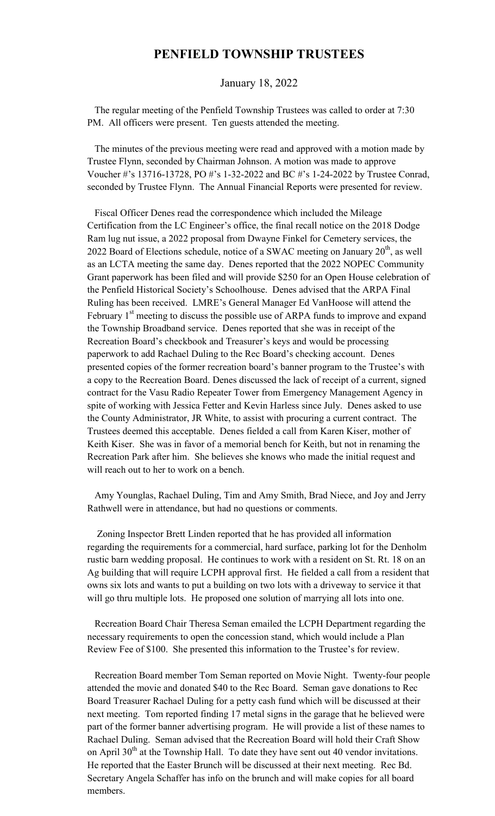## **PENFIELD TOWNSHIP TRUSTEES**

## January 18, 2022

 The regular meeting of the Penfield Township Trustees was called to order at 7:30 PM. All officers were present. Ten guests attended the meeting.

 The minutes of the previous meeting were read and approved with a motion made by Trustee Flynn, seconded by Chairman Johnson. A motion was made to approve Voucher #'s 13716-13728, PO #'s 1-32-2022 and BC #'s 1-24-2022 by Trustee Conrad, seconded by Trustee Flynn. The Annual Financial Reports were presented for review.

 Fiscal Officer Denes read the correspondence which included the Mileage Certification from the LC Engineer's office, the final recall notice on the 2018 Dodge Ram lug nut issue, a 2022 proposal from Dwayne Finkel for Cemetery services, the 2022 Board of Elections schedule, notice of a SWAC meeting on January  $20^{th}$ , as well as an LCTA meeting the same day. Denes reported that the 2022 NOPEC Community Grant paperwork has been filed and will provide \$250 for an Open House celebration of the Penfield Historical Society's Schoolhouse. Denes advised that the ARPA Final Ruling has been received. LMRE's General Manager Ed VanHoose will attend the February  $1<sup>st</sup>$  meeting to discuss the possible use of ARPA funds to improve and expand the Township Broadband service. Denes reported that she was in receipt of the Recreation Board's checkbook and Treasurer's keys and would be processing paperwork to add Rachael Duling to the Rec Board's checking account. Denes presented copies of the former recreation board's banner program to the Trustee's with a copy to the Recreation Board. Denes discussed the lack of receipt of a current, signed contract for the Vasu Radio Repeater Tower from Emergency Management Agency in spite of working with Jessica Fetter and Kevin Harless since July. Denes asked to use the County Administrator, JR White, to assist with procuring a current contract. The Trustees deemed this acceptable. Denes fielded a call from Karen Kiser, mother of Keith Kiser. She was in favor of a memorial bench for Keith, but not in renaming the Recreation Park after him. She believes she knows who made the initial request and will reach out to her to work on a bench.

 Amy Younglas, Rachael Duling, Tim and Amy Smith, Brad Niece, and Joy and Jerry Rathwell were in attendance, but had no questions or comments.

 Zoning Inspector Brett Linden reported that he has provided all information regarding the requirements for a commercial, hard surface, parking lot for the Denholm rustic barn wedding proposal. He continues to work with a resident on St. Rt. 18 on an Ag building that will require LCPH approval first. He fielded a call from a resident that owns six lots and wants to put a building on two lots with a driveway to service it that will go thru multiple lots. He proposed one solution of marrying all lots into one.

 Recreation Board Chair Theresa Seman emailed the LCPH Department regarding the necessary requirements to open the concession stand, which would include a Plan Review Fee of \$100. She presented this information to the Trustee's for review.

 Recreation Board member Tom Seman reported on Movie Night. Twenty-four people attended the movie and donated \$40 to the Rec Board. Seman gave donations to Rec Board Treasurer Rachael Duling for a petty cash fund which will be discussed at their next meeting. Tom reported finding 17 metal signs in the garage that he believed were part of the former banner advertising program. He will provide a list of these names to Rachael Duling. Seman advised that the Recreation Board will hold their Craft Show on April  $30<sup>th</sup>$  at the Township Hall. To date they have sent out 40 vendor invitations. He reported that the Easter Brunch will be discussed at their next meeting. Rec Bd. Secretary Angela Schaffer has info on the brunch and will make copies for all board members.